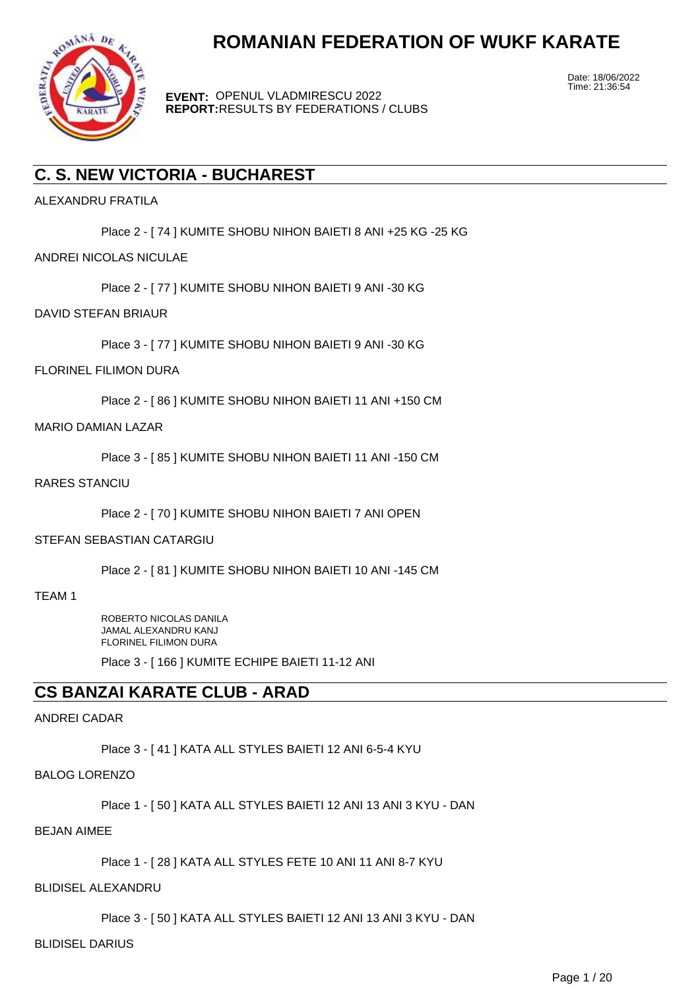

**EVENT:** OPENUL VLADMIRESCU 2022 **REPORT:** RESULTS BY FEDERATIONS / CLUBS Date: 18/06/2022 Time: 21:36:54

# **C. S. NEW VICTORIA - BUCHAREST**

ALEXANDRU FRATILA

Place 2 - [ 74 ] KUMITE SHOBU NIHON BAIETI 8 ANI +25 KG -25 KG

# ANDREI NICOLAS NICULAE

Place 2 - [ 77 ] KUMITE SHOBU NIHON BAIETI 9 ANI -30 KG

# DAVID STEFAN BRIAUR

Place 3 - [ 77 ] KUMITE SHOBU NIHON BAIETI 9 ANI -30 KG

# FLORINEL FILIMON DURA

Place 2 - [ 86 ] KUMITE SHOBU NIHON BAIETI 11 ANI +150 CM

### MARIO DAMIAN LAZAR

Place 3 - [ 85 ] KUMITE SHOBU NIHON BAIETI 11 ANI -150 CM

# RARES STANCIU

Place 2 - [ 70 ] KUMITE SHOBU NIHON BAIETI 7 ANI OPEN

# STEFAN SEBASTIAN CATARGIU

Place 2 - [ 81 ] KUMITE SHOBU NIHON BAIETI 10 ANI -145 CM

TEAM 1

ROBERTO NICOLAS DANILA JAMAL ALEXANDRU KANJ FLORINEL FILIMON DURA

Place 3 - [ 166 ] KUMITE ECHIPE BAIETI 11-12 ANI

# **CS BANZAI KARATE CLUB - ARAD**

# ANDREI CADAR

Place 3 - [ 41 ] KATA ALL STYLES BAIETI 12 ANI 6-5-4 KYU

#### BALOG LORENZO

Place 1 - [ 50 ] KATA ALL STYLES BAIETI 12 ANI 13 ANI 3 KYU - DAN

### BEJAN AIMEE

Place 1 - [ 28 ] KATA ALL STYLES FETE 10 ANI 11 ANI 8-7 KYU

#### BLIDISEL ALEXANDRU

Place 3 - [ 50 ] KATA ALL STYLES BAIETI 12 ANI 13 ANI 3 KYU - DAN

#### BLIDISEL DARIUS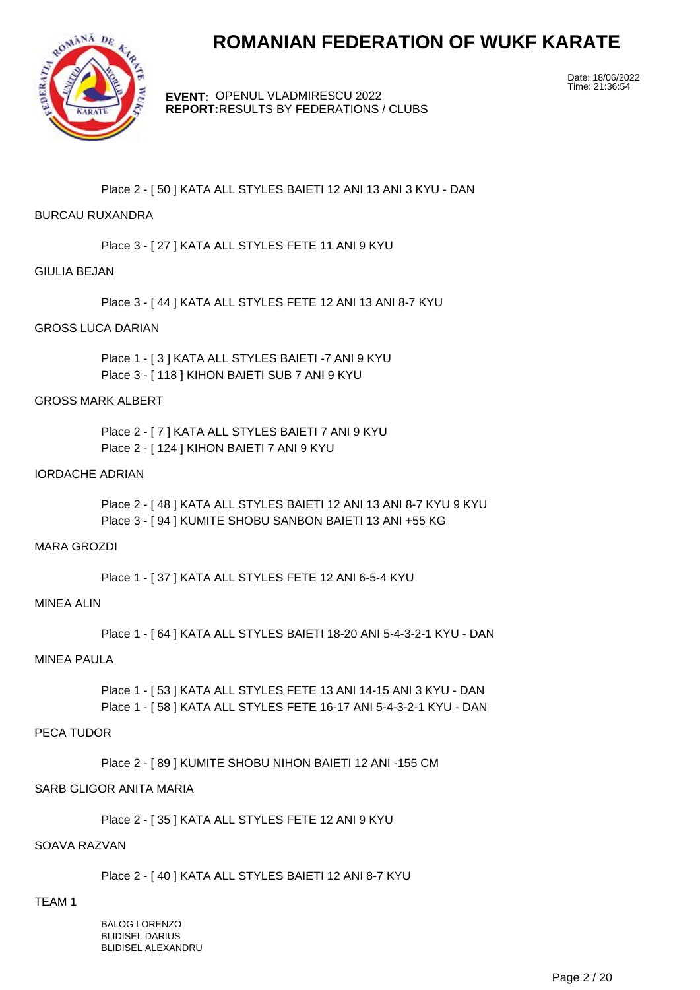

**EVENT:** OPENUL VLADMIRESCU 2022 **REPORT:** RESULTS BY FEDERATIONS / CLUBS Date: 18/06/2022 Time: 21:36:54

Place 2 - [ 50 ] KATA ALL STYLES BAIETI 12 ANI 13 ANI 3 KYU - DAN

### BURCAU RUXANDRA

Place 3 - [ 27 ] KATA ALL STYLES FETE 11 ANI 9 KYU

# GIULIA BEJAN

Place 3 - [ 44 ] KATA ALL STYLES FETE 12 ANI 13 ANI 8-7 KYU

#### GROSS LUCA DARIAN

Place 1 - [ 3 ] KATA ALL STYLES BAIETI -7 ANI 9 KYU Place 3 - [ 118 ] KIHON BAIETI SUB 7 ANI 9 KYU

# GROSS MARK ALBERT

Place 2 - [ 7 ] KATA ALL STYLES BAIETI 7 ANI 9 KYU Place 2 - [ 124 ] KIHON BAIETI 7 ANI 9 KYU

# IORDACHE ADRIAN

Place 2 - [ 48 ] KATA ALL STYLES BAIETI 12 ANI 13 ANI 8-7 KYU 9 KYU Place 3 - [ 94 ] KUMITE SHOBU SANBON BAIETI 13 ANI +55 KG

# MARA GROZDI

Place 1 - [ 37 ] KATA ALL STYLES FETE 12 ANI 6-5-4 KYU

#### MINEA ALIN

Place 1 - [ 64 ] KATA ALL STYLES BAIETI 18-20 ANI 5-4-3-2-1 KYU - DAN

#### MINEA PAULA

Place 1 - [ 53 ] KATA ALL STYLES FETE 13 ANI 14-15 ANI 3 KYU - DAN Place 1 - [ 58 ] KATA ALL STYLES FETE 16-17 ANI 5-4-3-2-1 KYU - DAN

#### PECA TUDOR

Place 2 - [ 89 ] KUMITE SHOBU NIHON BAIETI 12 ANI -155 CM

#### SARB GLIGOR ANITA MARIA

Place 2 - [ 35 ] KATA ALL STYLES FETE 12 ANI 9 KYU

# SOAVA RAZVAN

Place 2 - [ 40 ] KATA ALL STYLES BAIETI 12 ANI 8-7 KYU

# TEAM 1

BALOG LORENZO BLIDISEL DARIUS BLIDISEL ALEXANDRU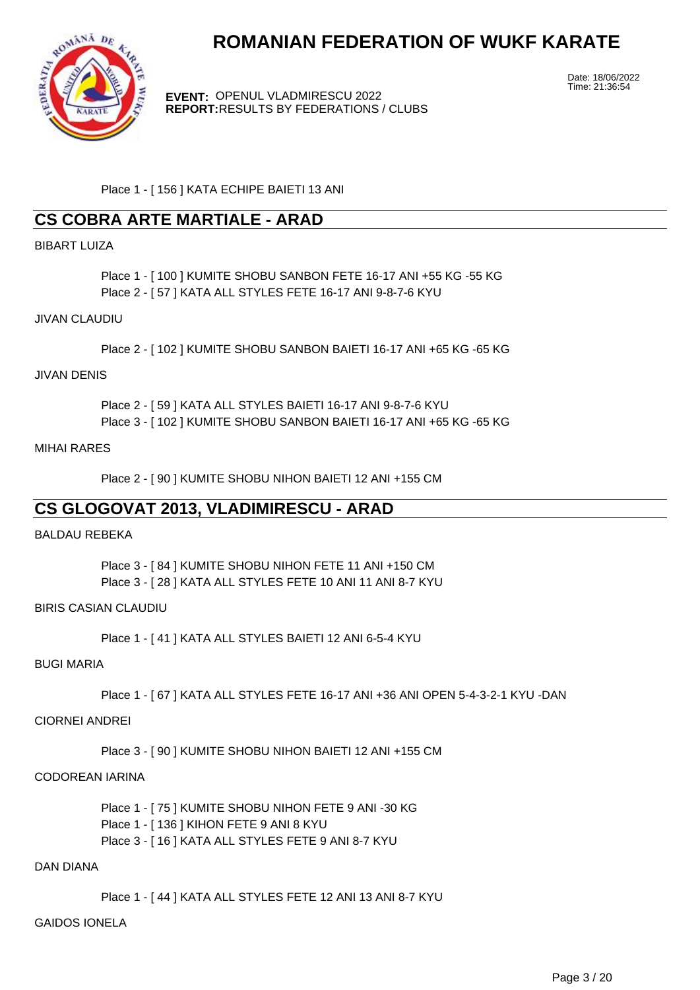

**EVENT:** OPENUL VLADMIRESCU 2022 **REPORT:** RESULTS BY FEDERATIONS / CLUBS Date: 18/06/2022 Time: 21:36:54

Place 1 - [ 156 ] KATA ECHIPE BAIETI 13 ANI

# **CS COBRA ARTE MARTIALE - ARAD**

# BIBART LUIZA

Place 1 - [ 100 ] KUMITE SHOBU SANBON FETE 16-17 ANI +55 KG -55 KG Place 2 - [ 57 ] KATA ALL STYLES FETE 16-17 ANI 9-8-7-6 KYU

# JIVAN CLAUDIU

Place 2 - [ 102 ] KUMITE SHOBU SANBON BAIETI 16-17 ANI +65 KG -65 KG

# JIVAN DENIS

Place 2 - [ 59 ] KATA ALL STYLES BAIETI 16-17 ANI 9-8-7-6 KYU Place 3 - [ 102 ] KUMITE SHOBU SANBON BAIETI 16-17 ANI +65 KG -65 KG

### MIHAI RARES

Place 2 - [ 90 ] KUMITE SHOBU NIHON BAIETI 12 ANI +155 CM

# **CS GLOGOVAT 2013, VLADIMIRESCU - ARAD**

# BALDAU REBEKA

Place 3 - [ 84 ] KUMITE SHOBU NIHON FETE 11 ANI +150 CM Place 3 - [ 28 ] KATA ALL STYLES FETE 10 ANI 11 ANI 8-7 KYU

# BIRIS CASIAN CLAUDIU

Place 1 - [ 41 ] KATA ALL STYLES BAIETI 12 ANI 6-5-4 KYU

## BUGI MARIA

Place 1 - [ 67 ] KATA ALL STYLES FETE 16-17 ANI +36 ANI OPEN 5-4-3-2-1 KYU -DAN

#### CIORNEI ANDREI

Place 3 - [ 90 ] KUMITE SHOBU NIHON BAIETI 12 ANI +155 CM

#### CODOREAN IARINA

Place 1 - [ 75 ] KUMITE SHOBU NIHON FETE 9 ANI -30 KG Place 1 - [ 136 ] KIHON FETE 9 ANI 8 KYU Place 3 - [ 16 ] KATA ALL STYLES FETE 9 ANI 8-7 KYU

#### DAN DIANA

Place 1 - [ 44 ] KATA ALL STYLES FETE 12 ANI 13 ANI 8-7 KYU

# GAIDOS IONELA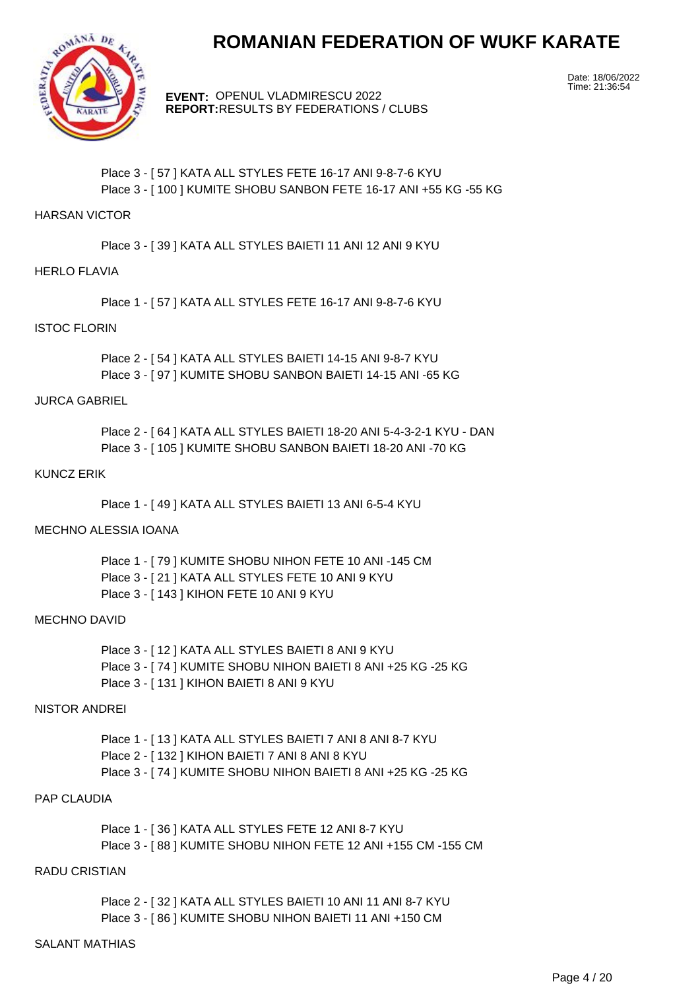

**EVENT:** OPENUL VLADMIRESCU 2022 **REPORT:** RESULTS BY FEDERATIONS / CLUBS Date: 18/06/2022 Time: 21:36:54

# Place 3 - [ 57 ] KATA ALL STYLES FETE 16-17 ANI 9-8-7-6 KYU Place 3 - [ 100 ] KUMITE SHOBU SANBON FETE 16-17 ANI +55 KG -55 KG

#### HARSAN VICTOR

Place 3 - [ 39 ] KATA ALL STYLES BAIETI 11 ANI 12 ANI 9 KYU

### HERLO FLAVIA

Place 1 - [ 57 ] KATA ALL STYLES FETE 16-17 ANI 9-8-7-6 KYU

# ISTOC FLORIN

Place 2 - [ 54 ] KATA ALL STYLES BAIETI 14-15 ANI 9-8-7 KYU Place 3 - [ 97 ] KUMITE SHOBU SANBON BAIETI 14-15 ANI -65 KG

# JURCA GABRIEL

Place 2 - [ 64 ] KATA ALL STYLES BAIETI 18-20 ANI 5-4-3-2-1 KYU - DAN Place 3 - [ 105 ] KUMITE SHOBU SANBON BAIETI 18-20 ANI -70 KG

# KUNCZ ERIK

Place 1 - [ 49 ] KATA ALL STYLES BAIETI 13 ANI 6-5-4 KYU

# MECHNO ALESSIA IOANA

Place 1 - [ 79 ] KUMITE SHOBU NIHON FETE 10 ANI -145 CM Place 3 - [ 21 ] KATA ALL STYLES FETE 10 ANI 9 KYU Place 3 - [ 143 ] KIHON FETE 10 ANI 9 KYU

#### MECHNO DAVID

Place 3 - [ 12 ] KATA ALL STYLES BAIETI 8 ANI 9 KYU Place 3 - [ 74 ] KUMITE SHOBU NIHON BAIETI 8 ANI +25 KG -25 KG Place 3 - [ 131 ] KIHON BAIETI 8 ANI 9 KYU

#### NISTOR ANDREI

Place 1 - [ 13 ] KATA ALL STYLES BAIETI 7 ANI 8 ANI 8-7 KYU Place 2 - [ 132 ] KIHON BAIETI 7 ANI 8 ANI 8 KYU Place 3 - [ 74 ] KUMITE SHOBU NIHON BAIETI 8 ANI +25 KG -25 KG

# PAP CLAUDIA

Place 1 - [ 36 ] KATA ALL STYLES FETE 12 ANI 8-7 KYU Place 3 - [ 88 ] KUMITE SHOBU NIHON FETE 12 ANI +155 CM -155 CM

#### RADU CRISTIAN

Place 2 - [32] KATA ALL STYLES BAIETI 10 ANI 11 ANI 8-7 KYU Place 3 - [ 86 ] KUMITE SHOBU NIHON BAIETI 11 ANI +150 CM

## SALANT MATHIAS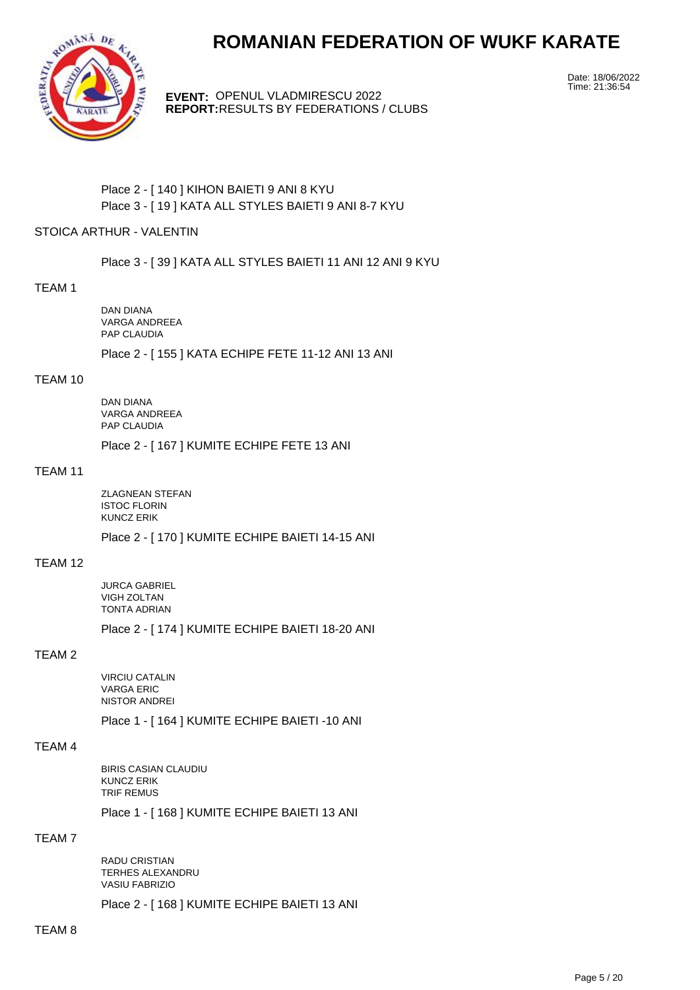

**EVENT:** OPENUL VLADMIRESCU 2022 **REPORT:** RESULTS BY FEDERATIONS / CLUBS Date: 18/06/2022 Time: 21:36:54

Place 2 - [ 140 ] KIHON BAIETI 9 ANI 8 KYU Place 3 - [ 19 ] KATA ALL STYLES BAIETI 9 ANI 8-7 KYU

#### STOICA ARTHUR - VALENTIN

Place 3 - [ 39 ] KATA ALL STYLES BAIETI 11 ANI 12 ANI 9 KYU

#### TEAM 1

DAN DIANA VARGA ANDREEA PAP CLAUDIA

Place 2 - [ 155 ] KATA ECHIPE FETE 11-12 ANI 13 ANI

#### TEAM 10

DAN DIANA VARGA ANDREEA PAP CLAUDIA

Place 2 - [ 167 ] KUMITE ECHIPE FETE 13 ANI

#### TEAM 11

ZLAGNEAN STEFAN ISTOC FLORIN KUNCZ ERIK

Place 2 - [ 170 ] KUMITE ECHIPE BAIETI 14-15 ANI

# TEAM 12

JURCA GABRIEL VIGH ZOLTAN TONTA ADRIAN

Place 2 - [ 174 ] KUMITE ECHIPE BAIETI 18-20 ANI

# TEAM 2

VIRCIU CATALIN VARGA ERIC NISTOR ANDREI

Place 1 - [ 164 ] KUMITE ECHIPE BAIETI -10 ANI

# TEAM 4

BIRIS CASIAN CLAUDIU KUNCZ ERIK TRIF REMUS

Place 1 - [ 168 ] KUMITE ECHIPE BAIETI 13 ANI

#### TEAM 7

RADU CRISTIAN TERHES ALEXANDRU VASIU FABRIZIO

Place 2 - [ 168 ] KUMITE ECHIPE BAIETI 13 ANI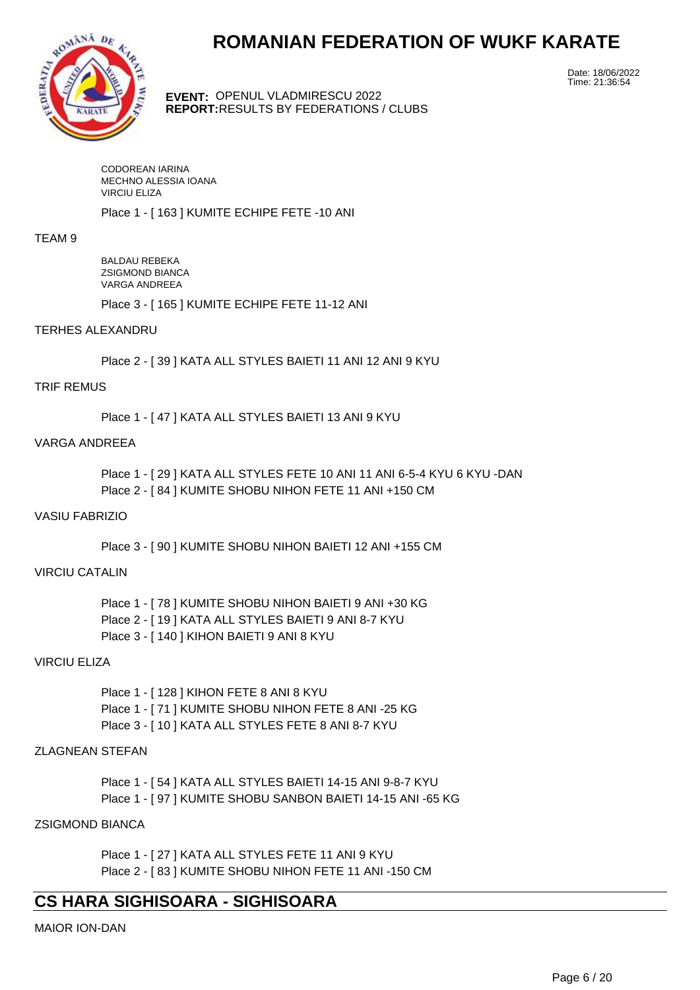

**EVENT:** OPENUL VLADMIRESCU 2022 **REPORT:** RESULTS BY FEDERATIONS / CLUBS Date: 18/06/2022 Time: 21:36:54

CODOREAN IARINA MECHNO ALESSIA IOANA VIRCIU ELIZA

Place 1 - [ 163 ] KUMITE ECHIPE FETE -10 ANI

#### TEAM 9

BALDAU REBEKA ZSIGMOND BIANCA VARGA ANDREEA

Place 3 - [ 165 ] KUMITE ECHIPE FETE 11-12 ANI

### TERHES ALEXANDRU

Place 2 - [ 39 ] KATA ALL STYLES BAIETI 11 ANI 12 ANI 9 KYU

#### TRIF REMUS

Place 1 - [47 ] KATA ALL STYLES BAIETI 13 ANI 9 KYU

### VARGA ANDREEA

Place 1 - [ 29 ] KATA ALL STYLES FETE 10 ANI 11 ANI 6-5-4 KYU 6 KYU -DAN Place 2 - [ 84 ] KUMITE SHOBU NIHON FETE 11 ANI +150 CM

#### VASIU FABRIZIO

Place 3 - [ 90 ] KUMITE SHOBU NIHON BAIETI 12 ANI +155 CM

### VIRCIU CATALIN

Place 1 - [ 78 ] KUMITE SHOBU NIHON BAIETI 9 ANI +30 KG Place 2 - [ 19 ] KATA ALL STYLES BAIETI 9 ANI 8-7 KYU Place 3 - [ 140 ] KIHON BAIETI 9 ANI 8 KYU

# VIRCIU ELIZA

Place 1 - [ 128 ] KIHON FETE 8 ANI 8 KYU Place 1 - [ 71 ] KUMITE SHOBU NIHON FETE 8 ANI -25 KG Place 3 - [ 10 ] KATA ALL STYLES FETE 8 ANI 8-7 KYU

# ZLAGNEAN STEFAN

Place 1 - [ 54 ] KATA ALL STYLES BAIETI 14-15 ANI 9-8-7 KYU Place 1 - [ 97 ] KUMITE SHOBU SANBON BAIETI 14-15 ANI -65 KG

# ZSIGMOND BIANCA

Place 1 - [ 27 ] KATA ALL STYLES FETE 11 ANI 9 KYU Place 2 - [ 83 ] KUMITE SHOBU NIHON FETE 11 ANI -150 CM

# **CS HARA SIGHISOARA - SIGHISOARA**

MAIOR ION-DAN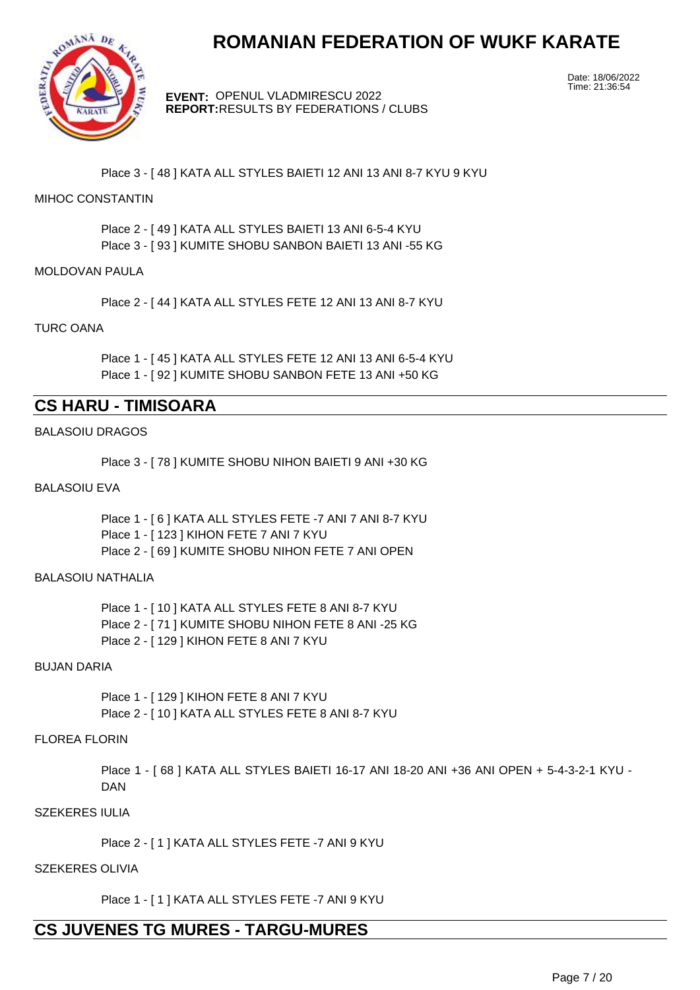

**EVENT:** OPENUL VLADMIRESCU 2022 **REPORT:** RESULTS BY FEDERATIONS / CLUBS Date: 18/06/2022 Time: 21:36:54

Place 3 - [ 48 ] KATA ALL STYLES BAIETI 12 ANI 13 ANI 8-7 KYU 9 KYU

# MIHOC CONSTANTIN

Place 2 - [ 49 ] KATA ALL STYLES BAIETI 13 ANI 6-5-4 KYU Place 3 - [ 93 ] KUMITE SHOBU SANBON BAIETI 13 ANI -55 KG

### MOLDOVAN PAULA

Place 2 - [ 44 ] KATA ALL STYLES FETE 12 ANI 13 ANI 8-7 KYU

# TURC OANA

Place 1 - [ 45 ] KATA ALL STYLES FETE 12 ANI 13 ANI 6-5-4 KYU Place 1 - [ 92 ] KUMITE SHOBU SANBON FETE 13 ANI +50 KG

# **CS HARU - TIMISOARA**

### BALASOIU DRAGOS

Place 3 - [ 78 ] KUMITE SHOBU NIHON BAIETI 9 ANI +30 KG

#### BALASOIU EVA

Place 1 - [ 6 ] KATA ALL STYLES FETE -7 ANI 7 ANI 8-7 KYU Place 1 - [ 123 ] KIHON FETE 7 ANI 7 KYU Place 2 - [ 69 ] KUMITE SHOBU NIHON FETE 7 ANI OPEN

#### BALASOIU NATHALIA

Place 1 - [ 10 ] KATA ALL STYLES FETE 8 ANI 8-7 KYU Place 2 - [ 71 ] KUMITE SHOBU NIHON FETE 8 ANI -25 KG Place 2 - [ 129 ] KIHON FETE 8 ANI 7 KYU

#### BUJAN DARIA

Place 1 - [ 129 ] KIHON FETE 8 ANI 7 KYU Place 2 - [ 10 ] KATA ALL STYLES FETE 8 ANI 8-7 KYU

# FLOREA FLORIN

Place 1 - [ 68 ] KATA ALL STYLES BAIETI 16-17 ANI 18-20 ANI +36 ANI OPEN + 5-4-3-2-1 KYU - DAN

#### SZEKERES IULIA

Place 2 - [ 1 ] KATA ALL STYLES FETE -7 ANI 9 KYU

# SZEKERES OLIVIA

Place 1 - [ 1 ] KATA ALL STYLES FETE -7 ANI 9 KYU

# **CS JUVENES TG MURES - TARGU-MURES**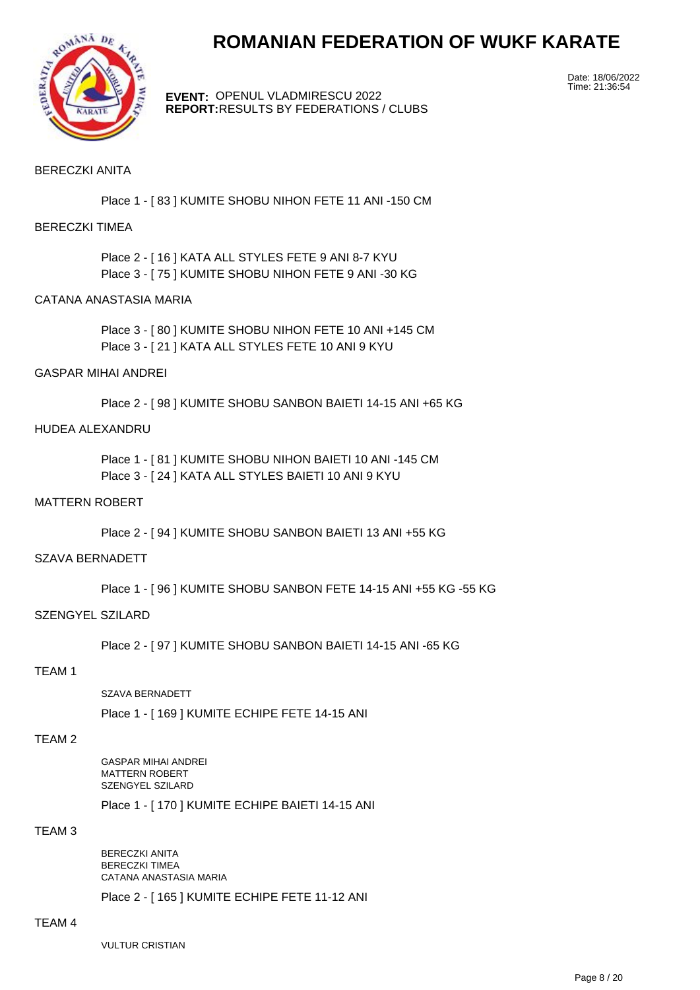

**EVENT:** OPENUL VLADMIRESCU 2022 **REPORT:** RESULTS BY FEDERATIONS / CLUBS Date: 18/06/2022 Time: 21:36:54

### BERECZKI ANITA

Place 1 - [ 83 ] KUMITE SHOBU NIHON FETE 11 ANI -150 CM

#### BERECZKI TIMEA

Place 2 - [ 16 ] KATA ALL STYLES FETE 9 ANI 8-7 KYU Place 3 - [ 75 ] KUMITE SHOBU NIHON FETE 9 ANI -30 KG

#### CATANA ANASTASIA MARIA

Place 3 - [ 80 ] KUMITE SHOBU NIHON FETE 10 ANI +145 CM Place 3 - [ 21 ] KATA ALL STYLES FETE 10 ANI 9 KYU

#### GASPAR MIHAI ANDREI

Place 2 - [ 98 ] KUMITE SHOBU SANBON BAIETI 14-15 ANI +65 KG

#### HUDEA ALEXANDRU

Place 1 - [ 81 ] KUMITE SHOBU NIHON BAIETI 10 ANI -145 CM Place 3 - [ 24 ] KATA ALL STYLES BAIETI 10 ANI 9 KYU

#### MATTERN ROBERT

Place 2 - [ 94 ] KUMITE SHOBU SANBON BAIETI 13 ANI +55 KG

#### SZAVA BERNADETT

Place 1 - [ 96 ] KUMITE SHOBU SANBON FETE 14-15 ANI +55 KG -55 KG

#### SZENGYEL SZILARD

Place 2 - [ 97 ] KUMITE SHOBU SANBON BAIETI 14-15 ANI -65 KG

#### TEAM 1

SZAVA BERNADETT

Place 1 - [ 169 ] KUMITE ECHIPE FETE 14-15 ANI

#### TEAM 2

GASPAR MIHAI ANDREI MATTERN ROBERT SZENGYEL SZILARD

Place 1 - [ 170 ] KUMITE ECHIPE BAIETI 14-15 ANI

#### TEAM 3

BERECZKI ANITA BERECZKI TIMEA CATANA ANASTASIA MARIA

Place 2 - [ 165 ] KUMITE ECHIPE FETE 11-12 ANI

#### TEAM 4

**VULTUR CRISTIAN**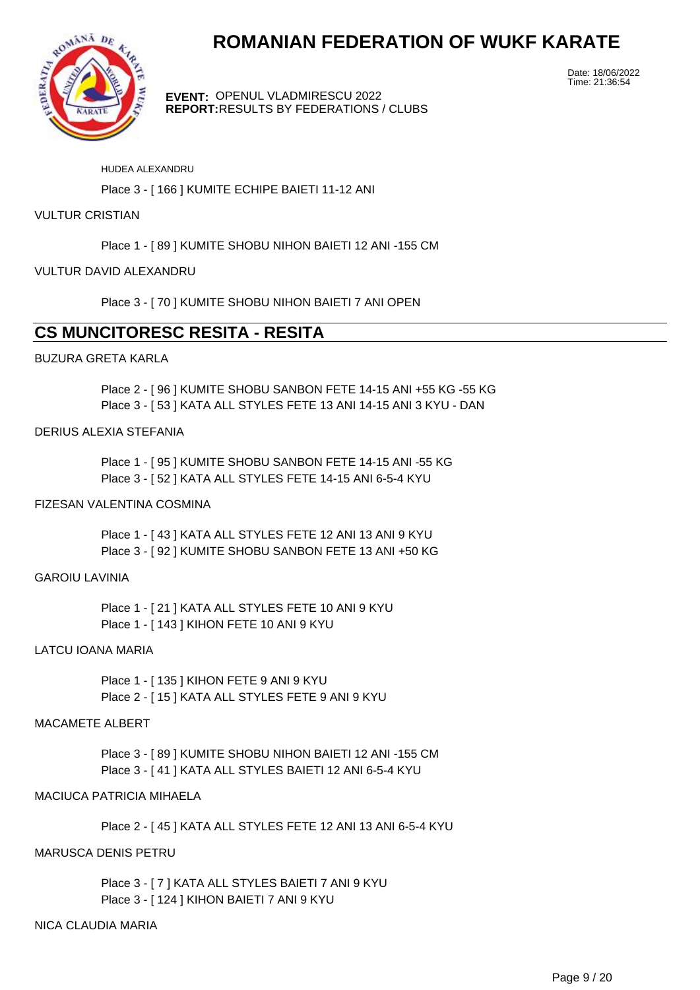

**EVENT:** OPENUL VLADMIRESCU 2022 **REPORT:** RESULTS BY FEDERATIONS / CLUBS Date: 18/06/2022 Time: 21:36:54

#### HUDEA ALEXANDRU

Place 3 - [ 166 ] KUMITE ECHIPE BAIETI 11-12 ANI

### **VULTUR CRISTIAN**

Place 1 - [ 89 ] KUMITE SHOBU NIHON BAIETI 12 ANI -155 CM

# VULTUR DAVID ALEXANDRU

Place 3 - [ 70 ] KUMITE SHOBU NIHON BAIETI 7 ANI OPEN

# **CS MUNCITORESC RESITA - RESITA**

# BUZURA GRETA KARLA

Place 2 - [ 96 ] KUMITE SHOBU SANBON FETE 14-15 ANI +55 KG -55 KG Place 3 - [ 53 ] KATA ALL STYLES FETE 13 ANI 14-15 ANI 3 KYU - DAN

# DERIUS ALEXIA STEFANIA

Place 1 - [ 95 ] KUMITE SHOBU SANBON FETE 14-15 ANI -55 KG Place 3 - [ 52 ] KATA ALL STYLES FETE 14-15 ANI 6-5-4 KYU

# FIZESAN VALENTINA COSMINA

Place 1 - [43 ] KATA ALL STYLES FETE 12 ANI 13 ANI 9 KYU Place 3 - [ 92 ] KUMITE SHOBU SANBON FETE 13 ANI +50 KG

#### GAROIU LAVINIA

Place 1 - [ 21 ] KATA ALL STYLES FETE 10 ANI 9 KYU Place 1 - [ 143 ] KIHON FETE 10 ANI 9 KYU

# LATCU IOANA MARIA

Place 1 - [ 135 ] KIHON FETE 9 ANI 9 KYU Place 2 - [ 15 ] KATA ALL STYLES FETE 9 ANI 9 KYU

#### MACAMETE ALBERT

Place 3 - [ 89 ] KUMITE SHOBU NIHON BAIETI 12 ANI -155 CM Place 3 - [ 41 ] KATA ALL STYLES BAIETI 12 ANI 6-5-4 KYU

# MACIUCA PATRICIA MIHAELA

Place 2 - [ 45 ] KATA ALL STYLES FETE 12 ANI 13 ANI 6-5-4 KYU

# MARUSCA DENIS PETRU

Place 3 - [ 7 ] KATA ALL STYLES BAIETI 7 ANI 9 KYU Place 3 - [ 124 ] KIHON BAIETI 7 ANI 9 KYU

# NICA CLAUDIA MARIA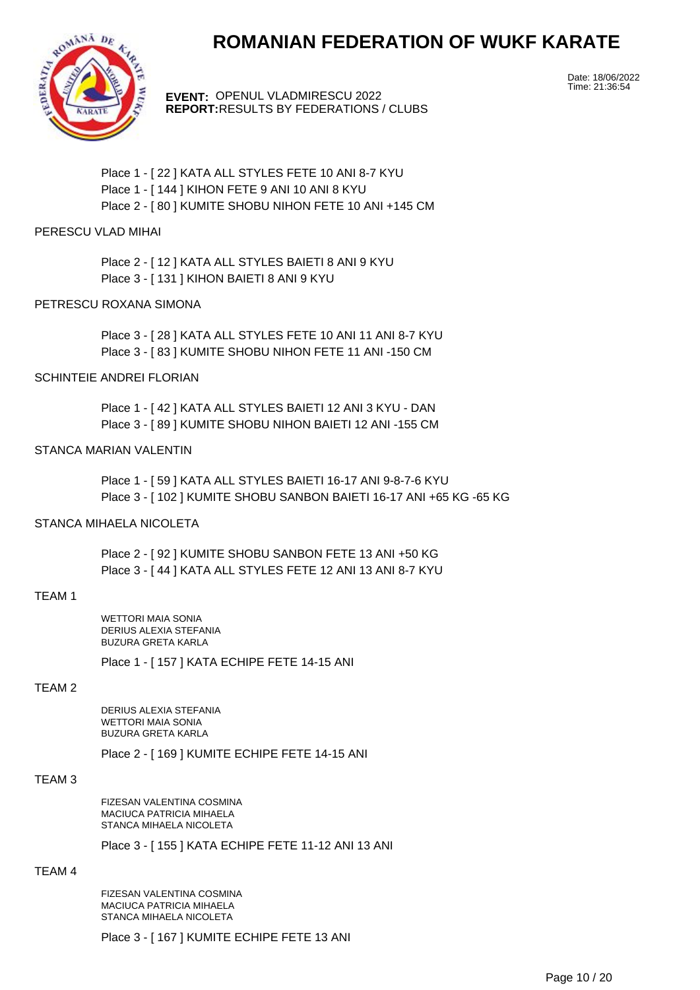

**EVENT:** OPENUL VLADMIRESCU 2022 **REPORT:** RESULTS BY FEDERATIONS / CLUBS Date: 18/06/2022 Time: 21:36:54

Place 1 - [ 22 ] KATA ALL STYLES FETE 10 ANI 8-7 KYU Place 1 - [ 144 ] KIHON FETE 9 ANI 10 ANI 8 KYU Place 2 - [ 80 ] KUMITE SHOBU NIHON FETE 10 ANI +145 CM

# PERESCU VLAD MIHAI

Place 2 - [ 12 ] KATA ALL STYLES BAIETI 8 ANI 9 KYU Place 3 - [ 131 ] KIHON BAIETI 8 ANI 9 KYU

# PETRESCU ROXANA SIMONA

Place 3 - [ 28 ] KATA ALL STYLES FETE 10 ANI 11 ANI 8-7 KYU Place 3 - [ 83 ] KUMITE SHOBU NIHON FETE 11 ANI -150 CM

#### SCHINTEIE ANDREI FLORIAN

Place 1 - [ 42 ] KATA ALL STYLES BAIETI 12 ANI 3 KYU - DAN Place 3 - [ 89 ] KUMITE SHOBU NIHON BAIETI 12 ANI -155 CM

#### STANCA MARIAN VALENTIN

Place 1 - [ 59 ] KATA ALL STYLES BAIETI 16-17 ANI 9-8-7-6 KYU Place 3 - [ 102 ] KUMITE SHOBU SANBON BAIETI 16-17 ANI +65 KG -65 KG

# STANCA MIHAFI A NICOLETA

Place 2 - [ 92 ] KUMITE SHOBU SANBON FETE 13 ANI +50 KG Place 3 - [ 44 ] KATA ALL STYLES FETE 12 ANI 13 ANI 8-7 KYU

#### TEAM 1

WETTORI MAIA SONIA DERIUS ALEXIA STEFANIA BUZURA GRETA KARLA

Place 1 - [ 157 ] KATA ECHIPE FETE 14-15 ANI

# TEAM 2

DERIUS ALEXIA STEFANIA WETTORI MAIA SONIA BUZURA GRETA KARLA

Place 2 - [ 169 ] KUMITE ECHIPE FETE 14-15 ANI

#### TEAM 3

FIZESAN VALENTINA COSMINA MACIUCA PATRICIA MIHAELA STANCA MIHAELA NICOLETA

Place 3 - [ 155 ] KATA ECHIPE FETE 11-12 ANI 13 ANI

### TEAM 4

FIZESAN VALENTINA COSMINA MACIUCA PATRICIA MIHAELA STANCA MIHAELA NICOLETA

Place 3 - [ 167 ] KUMITE ECHIPE FETE 13 ANI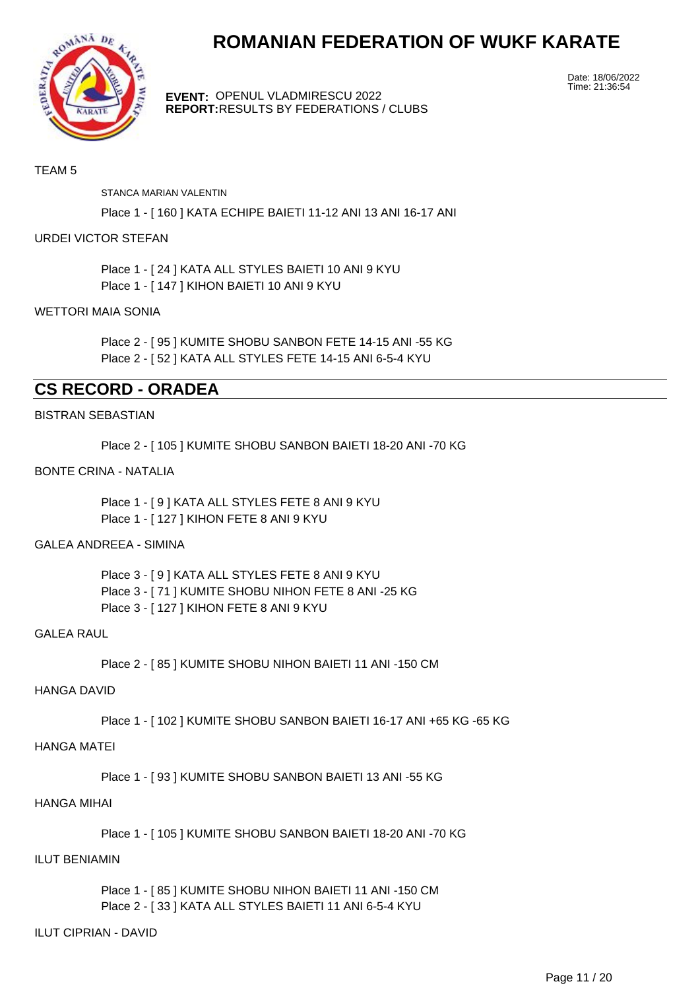

**EVENT:** OPENUL VLADMIRESCU 2022 **REPORT:** RESULTS BY FEDERATIONS / CLUBS Date: 18/06/2022 Time: 21:36:54

# TEAM 5

STANCA MARIAN VALENTIN

Place 1 - [ 160 ] KATA ECHIPE BAIETI 11-12 ANI 13 ANI 16-17 ANI

### URDEI VICTOR STEFAN

Place 1 - [ 24 ] KATA ALL STYLES BAIETI 10 ANI 9 KYU Place 1 - [ 147 ] KIHON BAIETI 10 ANI 9 KYU

#### WETTORI MAIA SONIA

Place 2 - [ 95 ] KUMITE SHOBU SANBON FETE 14-15 ANI -55 KG Place 2 - [ 52 ] KATA ALL STYLES FETE 14-15 ANI 6-5-4 KYU

# **CS RECORD - ORADEA**

#### BISTRAN SEBASTIAN

Place 2 - [ 105 ] KUMITE SHOBU SANBON BAIETI 18-20 ANI -70 KG

## BONTE CRINA - NATALIA

Place 1 - [ 9 ] KATA ALL STYLES FETE 8 ANI 9 KYU Place 1 - [ 127 ] KIHON FETE 8 ANI 9 KYU

#### GALEA ANDREEA - SIMINA

Place 3 - [ 9 ] KATA ALL STYLES FETE 8 ANI 9 KYU Place 3 - [ 71 ] KUMITE SHOBU NIHON FETE 8 ANI -25 KG Place 3 - [ 127 ] KIHON FETE 8 ANI 9 KYU

#### GALEA RAUL

Place 2 - [ 85 ] KUMITE SHOBU NIHON BAIETI 11 ANI -150 CM

# HANGA DAVID

Place 1 - [ 102 ] KUMITE SHOBU SANBON BAIETI 16-17 ANI +65 KG -65 KG

# HANGA MATEI

Place 1 - [ 93 ] KUMITE SHOBU SANBON BAIETI 13 ANI -55 KG

### HANGA MIHAI

Place 1 - [ 105 ] KUMITE SHOBU SANBON BAIETI 18-20 ANI -70 KG

#### ILUT BENIAMIN

Place 1 - [ 85 ] KUMITE SHOBU NIHON BAIETI 11 ANI -150 CM Place 2 - [ 33 ] KATA ALL STYLES BAIETI 11 ANI 6-5-4 KYU

### ILUT CIPRIAN - DAVID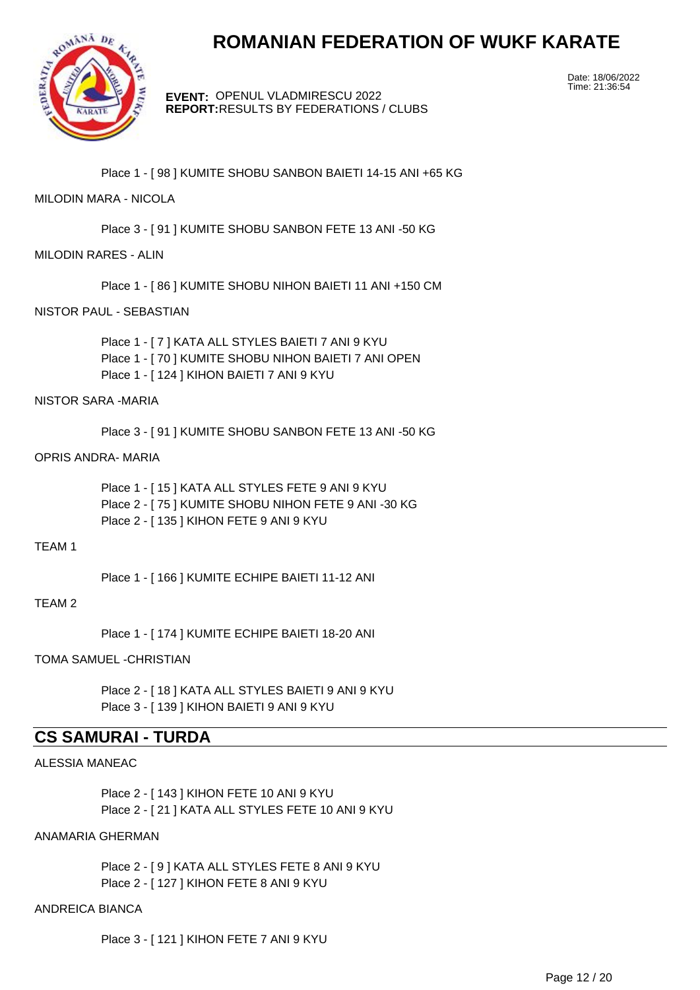

**EVENT:** OPENUL VLADMIRESCU 2022 **REPORT:** RESULTS BY FEDERATIONS / CLUBS Date: 18/06/2022 Time: 21:36:54

Place 1 - [ 98 ] KUMITE SHOBU SANBON BAIETI 14-15 ANI +65 KG

# MILODIN MARA - NICOLA

Place 3 - [ 91 ] KUMITE SHOBU SANBON FETE 13 ANI -50 KG

# MILODIN RARES - ALIN

Place 1 - [ 86 ] KUMITE SHOBU NIHON BAIETI 11 ANI +150 CM

### NISTOR PAUL - SEBASTIAN

Place 1 - [ 7 ] KATA ALL STYLES BAIETI 7 ANI 9 KYU Place 1 - [ 70 ] KUMITE SHOBU NIHON BAIETI 7 ANI OPEN Place 1 - [ 124 ] KIHON BAIETI 7 ANI 9 KYU

#### NISTOR SARA -MARIA

Place 3 - [ 91 ] KUMITE SHOBU SANBON FETE 13 ANI -50 KG

#### OPRIS ANDRA- MARIA

Place 1 - [ 15 ] KATA ALL STYLES FETE 9 ANI 9 KYU Place 2 - [ 75 ] KUMITE SHOBU NIHON FETE 9 ANI -30 KG Place 2 - [ 135 ] KIHON FETE 9 ANI 9 KYU

# TEAM 1

Place 1 - [ 166 ] KUMITE ECHIPE BAIETI 11-12 ANI

#### TEAM 2

Place 1 - [ 174 ] KUMITE ECHIPE BAIETI 18-20 ANI

#### TOMA SAMUEL -CHRISTIAN

Place 2 - [ 18 ] KATA ALL STYLES BAIETI 9 ANI 9 KYU Place 3 - [ 139 ] KIHON BAIETI 9 ANI 9 KYU

# **CS SAMURAI - TURDA**

#### ALESSIA MANEAC

Place 2 - [ 143 ] KIHON FETE 10 ANI 9 KYU Place 2 - [ 21 ] KATA ALL STYLES FETE 10 ANI 9 KYU

# ANAMARIA GHERMAN

Place 2 - [ 9 ] KATA ALL STYLES FETE 8 ANI 9 KYU Place 2 - [ 127 ] KIHON FETE 8 ANI 9 KYU

# ANDREICA BIANCA

Place 3 - [ 121 ] KIHON FETE 7 ANI 9 KYU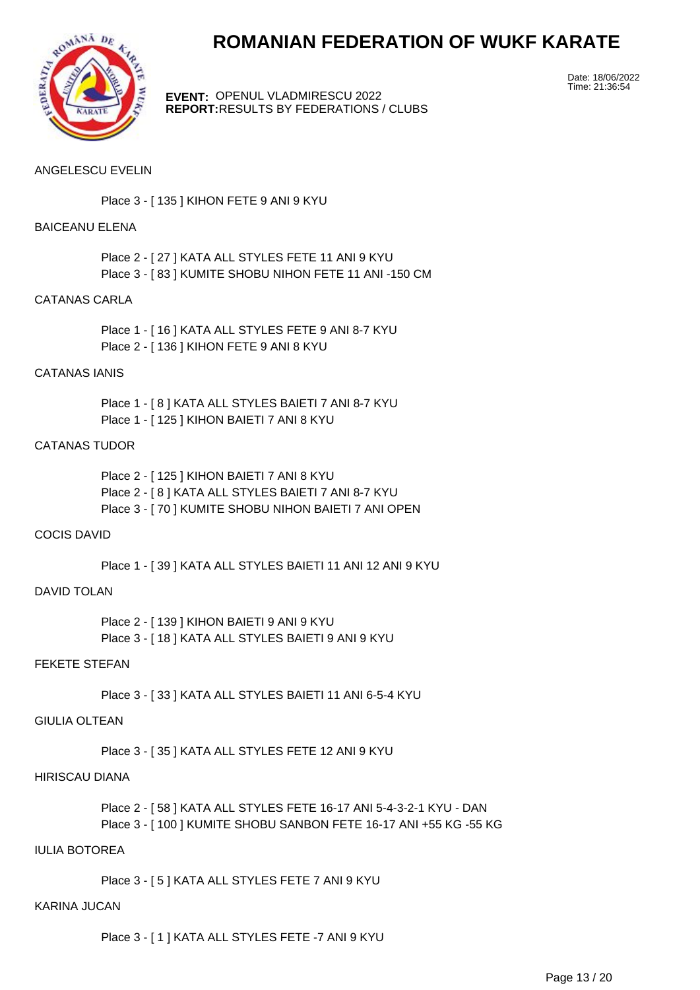

**EVENT:** OPENUL VLADMIRESCU 2022 **REPORT:** RESULTS BY FEDERATIONS / CLUBS Date: 18/06/2022 Time: 21:36:54

# ANGELESCU EVELIN

Place 3 - [ 135 ] KIHON FETE 9 ANI 9 KYU

### BAICEANU ELENA

Place 2 - [ 27 ] KATA ALL STYLES FETE 11 ANI 9 KYU Place 3 - [ 83 ] KUMITE SHOBU NIHON FETE 11 ANI -150 CM

### CATANAS CARLA

Place 1 - [ 16 ] KATA ALL STYLES FETE 9 ANI 8-7 KYU Place 2 - [ 136 ] KIHON FETE 9 ANI 8 KYU

#### CATANAS IANIS

Place 1 - [ 8 ] KATA ALL STYLES BAIETI 7 ANI 8-7 KYU Place 1 - [ 125 ] KIHON BAIETI 7 ANI 8 KYU

# CATANAS TUDOR

Place 2 - [ 125 ] KIHON BAIETI 7 ANI 8 KYU Place 2 - [ 8 ] KATA ALL STYLES BAIETI 7 ANI 8-7 KYU Place 3 - [ 70 ] KUMITE SHOBU NIHON BAIETI 7 ANI OPEN

# COCIS DAVID

Place 1 - [ 39 ] KATA ALL STYLES BAIETI 11 ANI 12 ANI 9 KYU

# DAVID TOLAN

Place 2 - [ 139 ] KIHON BAIETI 9 ANI 9 KYU Place 3 - [ 18 ] KATA ALL STYLES BAIETI 9 ANI 9 KYU

## FEKETE STEFAN

Place 3 - [ 33 ] KATA ALL STYLES BAIETI 11 ANI 6-5-4 KYU

# GIULIA OLTEAN

Place 3 - [ 35 ] KATA ALL STYLES FETE 12 ANI 9 KYU

#### HIRISCAU DIANA

Place 2 - [ 58 ] KATA ALL STYLES FETE 16-17 ANI 5-4-3-2-1 KYU - DAN Place 3 - [ 100 ] KUMITE SHOBU SANBON FETE 16-17 ANI +55 KG -55 KG

# IULIA BOTOREA

Place 3 - [ 5 ] KATA ALL STYLES FETE 7 ANI 9 KYU

# KARINA JUCAN

Place 3 - [ 1 ] KATA ALL STYLES FETE -7 ANI 9 KYU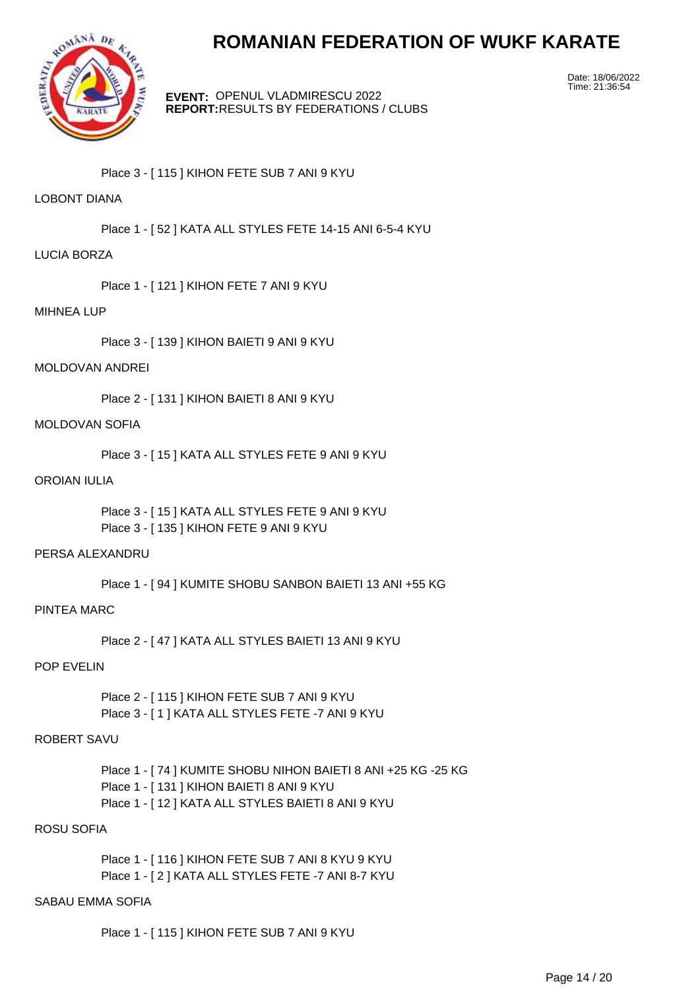

**EVENT:** OPENUL VLADMIRESCU 2022 **REPORT:** RESULTS BY FEDERATIONS / CLUBS Date: 18/06/2022 Time: 21:36:54

Place 3 - [ 115 ] KIHON FETE SUB 7 ANI 9 KYU

# LOBONT DIANA

Place 1 - [ 52 ] KATA ALL STYLES FETE 14-15 ANI 6-5-4 KYU

### LUCIA BORZA

Place 1 - [ 121 ] KIHON FETE 7 ANI 9 KYU

#### MIHNEA LUP

Place 3 - [ 139 ] KIHON BAIETI 9 ANI 9 KYU

### MOLDOVAN ANDREI

Place 2 - [ 131 ] KIHON BAIETI 8 ANI 9 KYU

## MOLDOVAN SOFIA

Place 3 - [ 15 ] KATA ALL STYLES FETE 9 ANI 9 KYU

#### OROIAN IULIA

Place 3 - [ 15 ] KATA ALL STYLES FETE 9 ANI 9 KYU Place 3 - [ 135 ] KIHON FETE 9 ANI 9 KYU

#### PERSA ALEXANDRU

Place 1 - [ 94 ] KUMITE SHOBU SANBON BAIETI 13 ANI +55 KG

# PINTEA MARC

Place 2 - [ 47 ] KATA ALL STYLES BAIETI 13 ANI 9 KYU

# POP EVELIN

Place 2 - [ 115 ] KIHON FETE SUB 7 ANI 9 KYU Place 3 - [ 1 ] KATA ALL STYLES FETE -7 ANI 9 KYU

# ROBERT SAVU

Place 1 - [ 74 ] KUMITE SHOBU NIHON BAIETI 8 ANI +25 KG -25 KG Place 1 - [ 131 ] KIHON BAIETI 8 ANI 9 KYU Place 1 - [ 12 ] KATA ALL STYLES BAIETI 8 ANI 9 KYU

# ROSU SOFIA

Place 1 - [ 116 ] KIHON FETE SUB 7 ANI 8 KYU 9 KYU Place 1 - [ 2 ] KATA ALL STYLES FETE -7 ANI 8-7 KYU

# SABAU EMMA SOFIA

Place 1 - [ 115 ] KIHON FETE SUB 7 ANI 9 KYU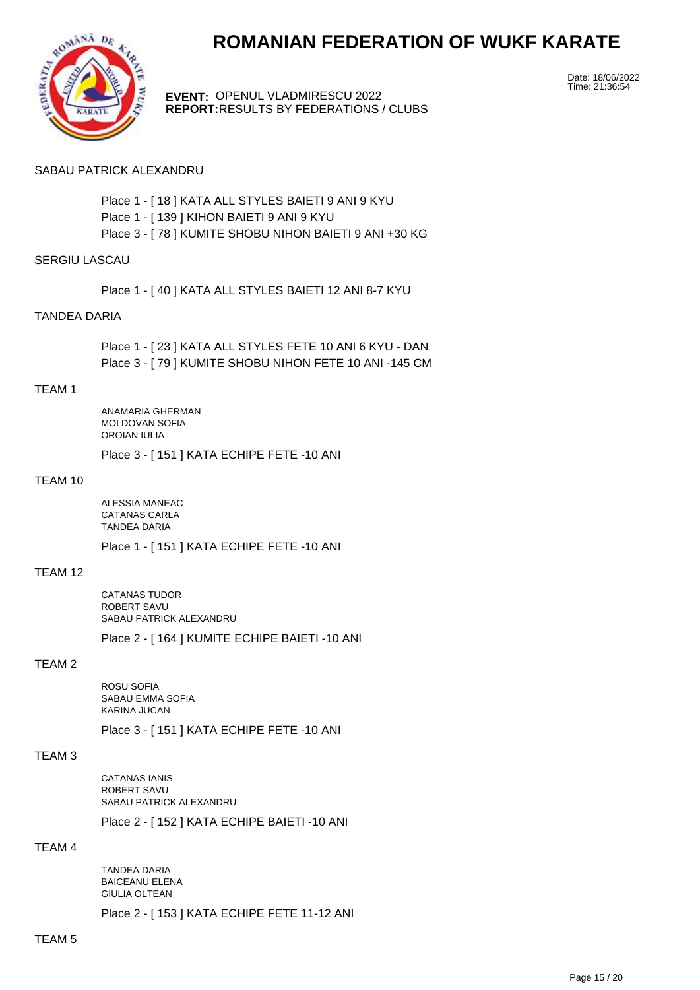



**EVENT:** OPENUL VLADMIRESCU 2022 **REPORT:** RESULTS BY FEDERATIONS / CLUBS Date: 18/06/2022 Time: 21:36:54

#### SABAU PATRICK ALEXANDRU

Place 1 - [ 18 ] KATA ALL STYLES BAIETI 9 ANI 9 KYU Place 1 - [ 139 ] KIHON BAIETI 9 ANI 9 KYU Place 3 - [ 78 ] KUMITE SHOBU NIHON BAIETI 9 ANI +30 KG

### SERGIU LASCAU

Place 1 - [ 40 ] KATA ALL STYLES BAIETI 12 ANI 8-7 KYU

#### TANDEA DARIA

Place 1 - [ 23 ] KATA ALL STYLES FETE 10 ANI 6 KYU - DAN Place 3 - [ 79 ] KUMITE SHOBU NIHON FETE 10 ANI -145 CM

#### TEAM 1

ANAMARIA GHERMAN MOLDOVAN SOFIA OROIAN IULIA

Place 3 - [ 151 ] KATA ECHIPE FETE -10 ANI

#### TEAM 10

ALESSIA MANEAC CATANAS CARLA TANDEA DARIA

Place 1 - [ 151 ] KATA ECHIPE FETE -10 ANI

#### TEAM 12

CATANAS TUDOR ROBERT SAVU SABAU PATRICK ALEXANDRU

Place 2 - [ 164 ] KUMITE ECHIPE BAIETI -10 ANI

# TEAM 2

ROSU SOFIA SABAU EMMA SOFIA KARINA JUCAN

Place 3 - [ 151 ] KATA ECHIPE FETE -10 ANI

#### TEAM 3

CATANAS IANIS ROBERT SAVU SABAU PATRICK ALEXANDRU

Place 2 - [ 152 ] KATA ECHIPE BAIETI -10 ANI

#### TEAM 4

TANDEA DARIA BAICEANU ELENA GIULIA OLTEAN

Place 2 - [ 153 ] KATA ECHIPE FETE 11-12 ANI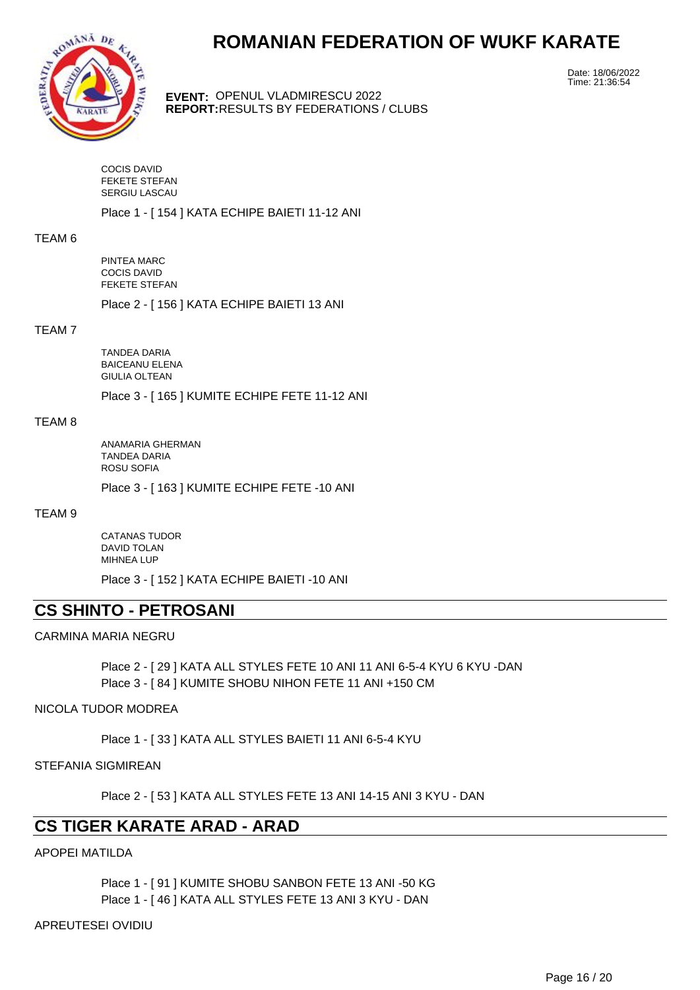

**EVENT:** OPENUL VLADMIRESCU 2022 **REPORT:** RESULTS BY FEDERATIONS / CLUBS Date: 18/06/2022 Time: 21:36:54

COCIS DAVID FEKETE STEFAN SERGIU LASCAU

Place 1 - [ 154 ] KATA ECHIPE BAIETI 11-12 ANI

#### TEAM 6

PINTEA MARC COCIS DAVID FEKETE STEFAN

Place 2 - [ 156 ] KATA ECHIPE BAIETI 13 ANI

# TEAM 7

TANDEA DARIA BAICEANU ELENA GIULIA OLTEAN

Place 3 - [ 165 ] KUMITE ECHIPE FETE 11-12 ANI

#### TEAM 8

ANAMARIA GHERMAN TANDEA DARIA ROSU SOFIA

Place 3 - [ 163 ] KUMITE ECHIPE FETE -10 ANI

## TEAM 9

CATANAS TUDOR DAVID TOLAN MIHNEA LUP

Place 3 - [ 152 ] KATA ECHIPE BAIETI -10 ANI

# **CS SHINTO - PETROSANI**

# CARMINA MARIA NEGRU

Place 2 - [ 29 ] KATA ALL STYLES FETE 10 ANI 11 ANI 6-5-4 KYU 6 KYU -DAN Place 3 - [ 84 ] KUMITE SHOBU NIHON FETE 11 ANI +150 CM

#### NICOLA TUDOR MODREA

Place 1 - [ 33 ] KATA ALL STYLES BAIETI 11 ANI 6-5-4 KYU

#### STEFANIA SIGMIREAN

Place 2 - [ 53 ] KATA ALL STYLES FETE 13 ANI 14-15 ANI 3 KYU - DAN

# **CS TIGER KARATE ARAD - ARAD**

APOPEI MATILDA

Place 1 - [ 91 ] KUMITE SHOBU SANBON FETE 13 ANI -50 KG Place 1 - [ 46 ] KATA ALL STYLES FETE 13 ANI 3 KYU - DAN

APREUTESEI OVIDIU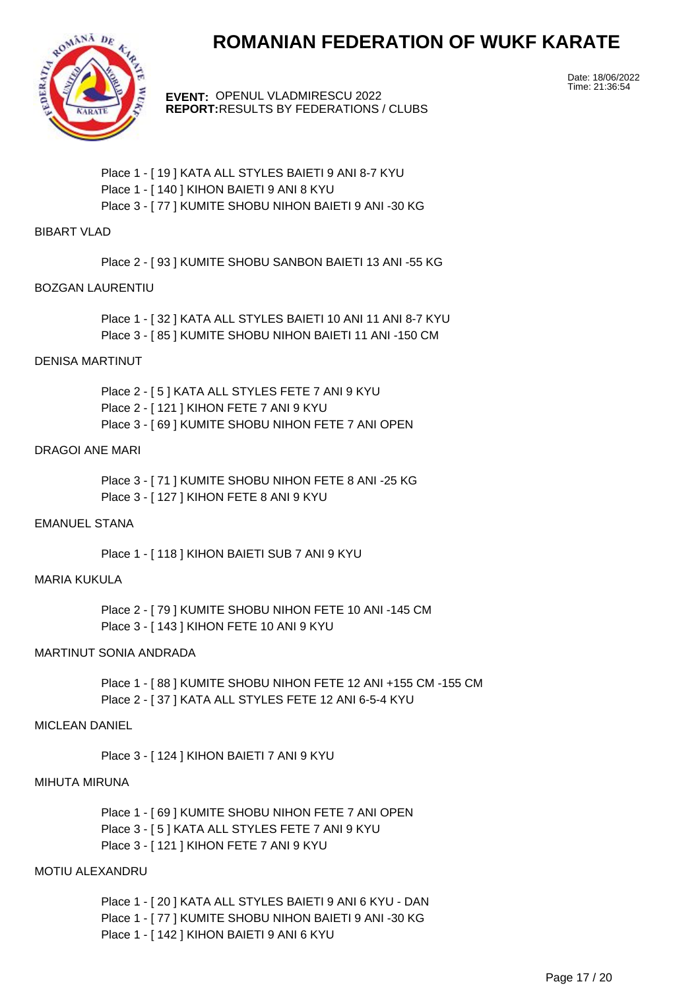

**EVENT:** OPENUL VLADMIRESCU 2022 **REPORT:** RESULTS BY FEDERATIONS / CLUBS Date: 18/06/2022 Time: 21:36:54

Place 1 - [ 19 ] KATA ALL STYLES BAIETI 9 ANI 8-7 KYU Place 1 - [ 140 ] KIHON BAIETI 9 ANI 8 KYU Place 3 - [ 77 ] KUMITE SHOBU NIHON BAIETI 9 ANI -30 KG

### BIBART VLAD

Place 2 - [ 93 ] KUMITE SHOBU SANBON BAIETI 13 ANI -55 KG

#### BOZGAN LAURENTIU

Place 1 - [32 ] KATA ALL STYLES BAIETI 10 ANI 11 ANI 8-7 KYU Place 3 - [ 85 ] KUMITE SHOBU NIHON BAIETI 11 ANI -150 CM

### DENISA MARTINUT

Place 2 - [ 5 ] KATA ALL STYLES FETE 7 ANI 9 KYU Place 2 - [ 121 ] KIHON FETE 7 ANI 9 KYU Place 3 - [ 69 ] KUMITE SHOBU NIHON FETE 7 ANI OPEN

#### DRAGOI ANE MARI

Place 3 - [ 71 ] KUMITE SHOBU NIHON FETE 8 ANI -25 KG Place 3 - [ 127 ] KIHON FETE 8 ANI 9 KYU

# EMANUEL STANA

Place 1 - [ 118 ] KIHON BAIETI SUB 7 ANI 9 KYU

# MARIA KUKULA

Place 2 - [ 79 ] KUMITE SHOBU NIHON FETE 10 ANI -145 CM Place 3 - [ 143 ] KIHON FETE 10 ANI 9 KYU

# MARTINUT SONIA ANDRADA

Place 1 - [ 88 ] KUMITE SHOBU NIHON FETE 12 ANI +155 CM -155 CM Place 2 - [ 37 ] KATA ALL STYLES FETE 12 ANI 6-5-4 KYU

#### MICLEAN DANIEL

Place 3 - [ 124 ] KIHON BAIETI 7 ANI 9 KYU

#### MIHUTA MIRUNA

Place 1 - [69 ] KUMITE SHOBU NIHON FETE 7 ANI OPEN Place 3 - [ 5 ] KATA ALL STYLES FETE 7 ANI 9 KYU Place 3 - [ 121 ] KIHON FETE 7 ANI 9 KYU

# MOTIU ALEXANDRU

Place 1 - [ 20 ] KATA ALL STYLES BAIETI 9 ANI 6 KYU - DAN Place 1 - [ 77 ] KUMITE SHOBU NIHON BAIETI 9 ANI -30 KG Place 1 - [ 142 ] KIHON BAIETI 9 ANI 6 KYU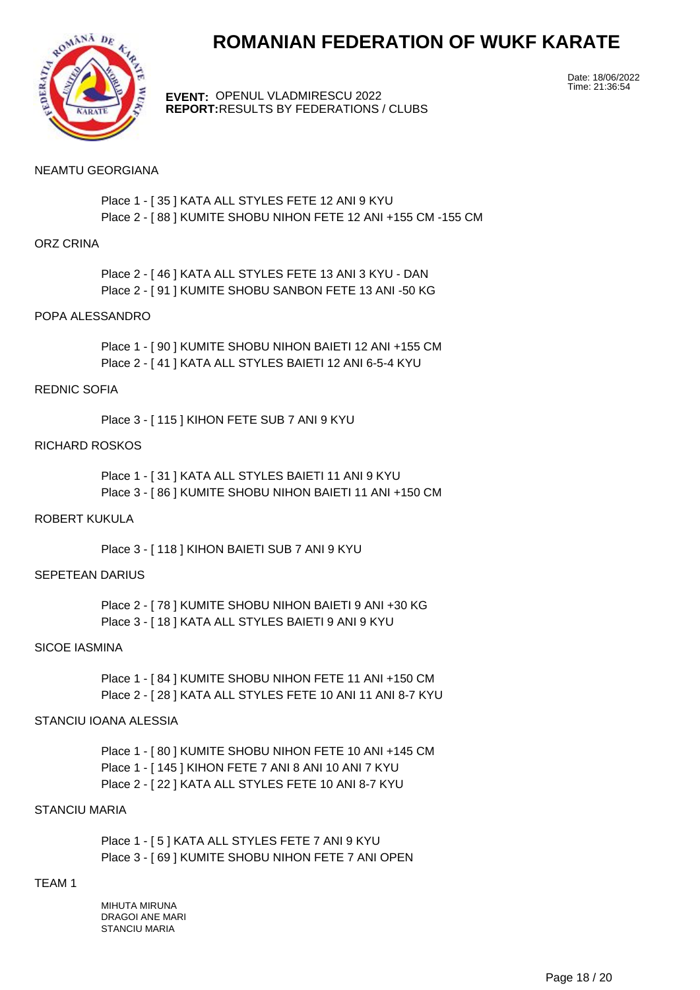



**EVENT:** OPENUL VLADMIRESCU 2022 **REPORT:** RESULTS BY FEDERATIONS / CLUBS Date: 18/06/2022 Time: 21:36:54

### NEAMTU GEORGIANA

Place 1 - [ 35 ] KATA ALL STYLES FETE 12 ANI 9 KYU Place 2 - [ 88 ] KUMITE SHOBU NIHON FETE 12 ANI +155 CM -155 CM

#### ORZ CRINA

Place 2 - [ 46 ] KATA ALL STYLES FETE 13 ANI 3 KYU - DAN Place 2 - [ 91 ] KUMITE SHOBU SANBON FETE 13 ANI -50 KG

### POPA ALESSANDRO

Place 1 - [ 90 ] KUMITE SHOBU NIHON BAIETI 12 ANI +155 CM Place 2 - [ 41 ] KATA ALL STYLES BAIETI 12 ANI 6-5-4 KYU

#### REDNIC SOFIA

Place 3 - [ 115 ] KIHON FETE SUB 7 ANI 9 KYU

### RICHARD ROSKOS

Place 1 - [ 31 ] KATA ALL STYLES BAIETI 11 ANI 9 KYU Place 3 - [ 86 ] KUMITE SHOBU NIHON BAIETI 11 ANI +150 CM

## ROBERT KUKULA

Place 3 - [ 118 ] KIHON BAIETI SUB 7 ANI 9 KYU

# SEPETEAN DARIUS

Place 2 - [ 78 ] KUMITE SHOBU NIHON BAIETI 9 ANI +30 KG Place 3 - [ 18 ] KATA ALL STYLES BAIETI 9 ANI 9 KYU

#### SICOE IASMINA

Place 1 - [ 84 ] KUMITE SHOBU NIHON FETE 11 ANI +150 CM Place 2 - [ 28 ] KATA ALL STYLES FETE 10 ANI 11 ANI 8-7 KYU

# STANCIU IOANA ALESSIA

Place 1 - [ 80 ] KUMITE SHOBU NIHON FETE 10 ANI +145 CM Place 1 - [ 145 ] KIHON FETE 7 ANI 8 ANI 10 ANI 7 KYU Place 2 - [ 22 ] KATA ALL STYLES FETE 10 ANI 8-7 KYU

# STANCIU MARIA

Place 1 - [ 5 ] KATA ALL STYLES FETE 7 ANI 9 KYU Place 3 - [ 69 ] KUMITE SHOBU NIHON FETE 7 ANI OPEN

### TEAM 1

MIHUTA MIRUNA DRAGOI ANE MARI STANCIU MARIA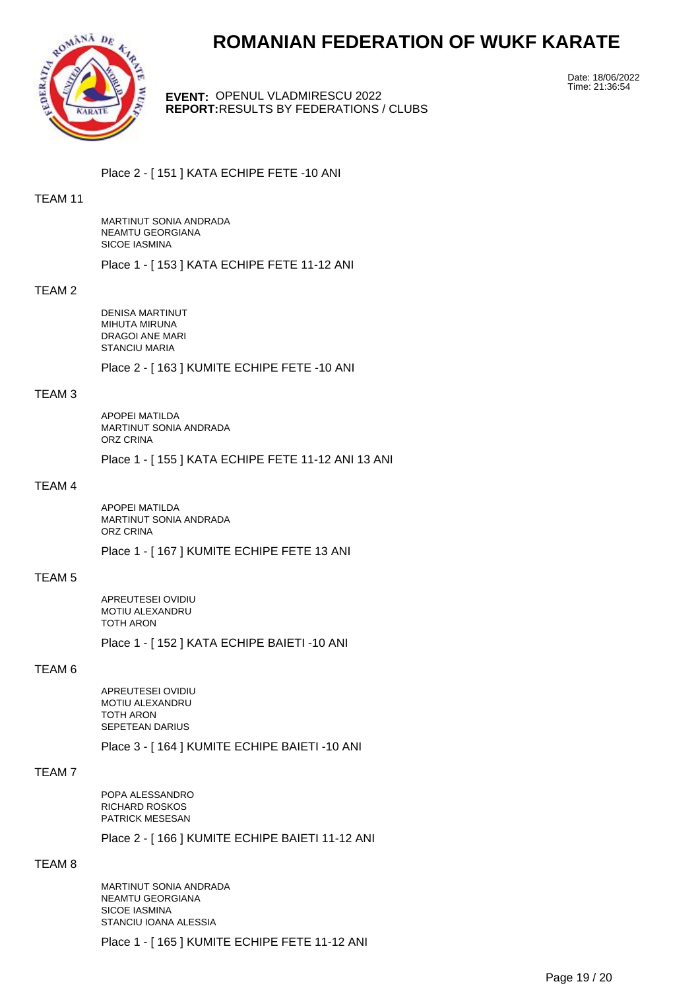

**EVENT:** OPENUL VLADMIRESCU 2022 **REPORT:** RESULTS BY FEDERATIONS / CLUBS Date: 18/06/2022 Time: 21:36:54

Place 2 - [ 151 ] KATA ECHIPE FETE -10 ANI

# TEAM 11

MARTINUT SONIA ANDRADA NEAMTU GEORGIANA SICOE IASMINA

Place 1 - [ 153 ] KATA ECHIPE FETE 11-12 ANI

#### TEAM 2

DENISA MARTINUT MIHUTA MIRUNA DRAGOI ANE MARI STANCIU MARIA

Place 2 - [ 163 ] KUMITE ECHIPE FETE -10 ANI

# TEAM 3

APOPEI MATILDA MARTINUT SONIA ANDRADA ORZ CRINA

Place 1 - [ 155 ] KATA ECHIPE FETE 11-12 ANI 13 ANI

# TEAM 4

APOPEI MATILDA MARTINUT SONIA ANDRADA ORZ CRINA

Place 1 - [ 167 ] KUMITE ECHIPE FETE 13 ANI

#### TEAM 5

APREUTESEI OVIDIU MOTIU ALEXANDRU TOTH ARON

Place 1 - [ 152 ] KATA ECHIPE BAIETI -10 ANI

#### TEAM 6

APREUTESEI OVIDIU MOTIU ALEXANDRU TOTH ARON SEPETEAN DARIUS

Place 3 - [ 164 ] KUMITE ECHIPE BAIETI -10 ANI

### TEAM 7

POPA ALESSANDRO RICHARD ROSKOS PATRICK MESESAN

Place 2 - [ 166 ] KUMITE ECHIPE BAIETI 11-12 ANI

# TEAM 8

MARTINUT SONIA ANDRADA NEAMTU GEORGIANA SICOE IASMINA STANCIU IOANA ALESSIA

Place 1 - [ 165 ] KUMITE ECHIPE FETE 11-12 ANI